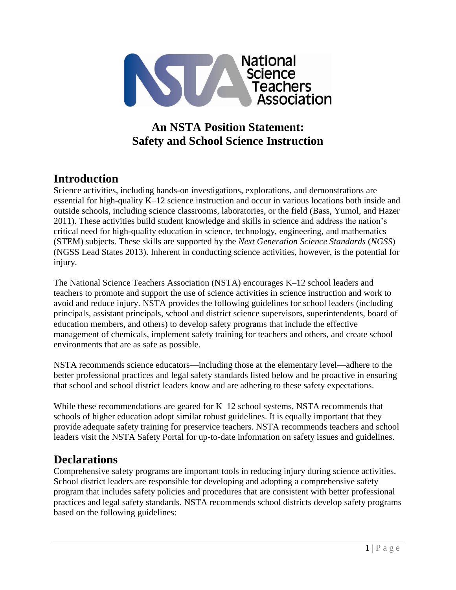

# **An NSTA Position Statement: Safety and School Science Instruction**

## **Introduction**

Science activities, including hands-on investigations, explorations, and demonstrations are essential for high-quality K–12 science instruction and occur in various locations both inside and outside schools, including science classrooms, laboratories, or the field (Bass, Yumol, and Hazer 2011). These activities build student knowledge and skills in science and address the nation's critical need for high-quality education in science, technology, engineering, and mathematics (STEM) subjects. These skills are supported by the *Next Generation Science Standards* (*NGSS*) (NGSS Lead States 2013). Inherent in conducting science activities, however, is the potential for injury.

The National Science Teachers Association (NSTA) encourages K–12 school leaders and teachers to promote and support the use of science activities in science instruction and work to avoid and reduce injury. NSTA provides the following guidelines for school leaders (including principals, assistant principals, school and district science supervisors, superintendents, board of education members, and others) to develop safety programs that include the effective management of chemicals, implement safety training for teachers and others, and create school environments that are as safe as possible.

NSTA recommends science educators—including those at the elementary level—adhere to the better professional practices and legal safety standards listed below and be proactive in ensuring that school and school district leaders know and are adhering to these safety expectations.

While these recommendations are geared for K–12 school systems, NSTA recommends that schools of higher education adopt similar robust guidelines. It is equally important that they provide adequate safety training for preservice teachers. NSTA recommends teachers and school leaders visit the [NSTA Safety Portal](http://www.nsta.org/safety/) for up-to-date information on safety issues and guidelines.

### **Declarations**

Comprehensive safety programs are important tools in reducing injury during science activities. School district leaders are responsible for developing and adopting a comprehensive safety program that includes safety policies and procedures that are consistent with better professional practices and legal safety standards. NSTA recommends school districts develop safety programs based on the following guidelines: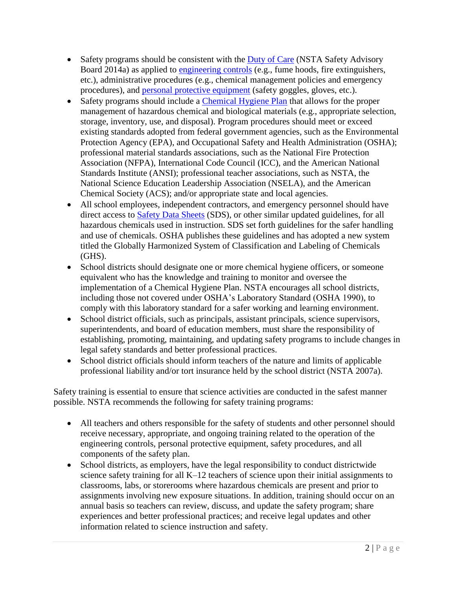- Safety programs should be consistent with the [Duty of Care](http://www.nsta.org/docs/DutyOfCare.pdf) (NSTA Safety Advisory Board 2014a) as applied to [engineering controls](https://www.osha.gov/SLTC/etools/safetyhealth/comp3.html#Engineering Controls) (e.g., fume hoods, fire extinguishers, etc.), administrative procedures (e.g., chemical management policies and emergency procedures), and [personal protective equipment](https://www.osha.gov/SLTC/personalprotectiveequipment/) (safety goggles, gloves, etc.).
- Safety programs should include a [Chemical Hygiene Plan](https://www.osha.gov/Publications/laboratory/OSHAfactsheet-laboratory-safety-chemical-hygiene-plan.pdf) that allows for the proper management of hazardous chemical and biological materials (e.g., appropriate selection, storage, inventory, use, and disposal). Program procedures should meet or exceed existing standards adopted from federal government agencies, such as the Environmental Protection Agency (EPA), and Occupational Safety and Health Administration (OSHA); professional material standards associations, such as the National Fire Protection Association (NFPA), International Code Council (ICC), and the American National Standards Institute (ANSI); professional teacher associations, such as NSTA, the National Science Education Leadership Association (NSELA), and the American Chemical Society (ACS); and/or appropriate state and local agencies.
- All school employees, independent contractors, and emergency personnel should have direct access to [Safety Data Sheets](https://www.osha.gov/Publications/OSHA3514.html) (SDS), or other similar updated guidelines, for all hazardous chemicals used in instruction. SDS set forth guidelines for the safer handling and use of chemicals. OSHA publishes these guidelines and has adopted a new system titled the Globally Harmonized System of Classification and Labeling of Chemicals (GHS).
- School districts should designate one or more chemical hygiene officers, or someone equivalent who has the knowledge and training to monitor and oversee the implementation of a Chemical Hygiene Plan. NSTA encourages all school districts, including those not covered under OSHA's Laboratory Standard (OSHA 1990), to comply with this laboratory standard for a safer working and learning environment.
- School district officials, such as principals, assistant principals, science supervisors, superintendents, and board of education members, must share the responsibility of establishing, promoting, maintaining, and updating safety programs to include changes in legal safety standards and better professional practices.
- School district officials should inform teachers of the nature and limits of applicable professional liability and/or tort insurance held by the school district (NSTA 2007a).

Safety training is essential to ensure that science activities are conducted in the safest manner possible. NSTA recommends the following for safety training programs:

- All teachers and others responsible for the safety of students and other personnel should receive necessary, appropriate, and ongoing training related to the operation of the engineering controls, personal protective equipment, safety procedures, and all components of the safety plan.
- School districts, as employers, have the legal responsibility to conduct districtwide science safety training for all K–12 teachers of science upon their initial assignments to classrooms, labs, or storerooms where hazardous chemicals are present and prior to assignments involving new exposure situations. In addition, training should occur on an annual basis so teachers can review, discuss, and update the safety program; share experiences and better professional practices; and receive legal updates and other information related to science instruction and safety.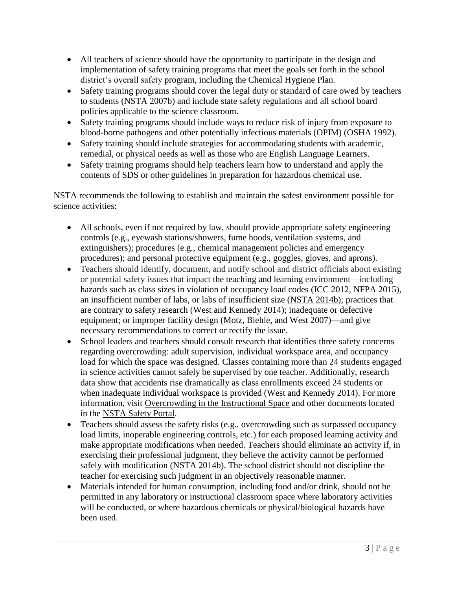- All teachers of science should have the opportunity to participate in the design and implementation of safety training programs that meet the goals set forth in the school district's overall safety program, including the Chemical Hygiene Plan.
- Safety training programs should cover the legal duty or standard of care owed by teachers to students (NSTA 2007b) and include state safety regulations and all school board policies applicable to the science classroom.
- Safety training programs should include ways to reduce risk of injury from exposure to blood-borne pathogens and other potentially infectious materials (OPIM) (OSHA 1992).
- Safety training should include strategies for accommodating students with academic, remedial, or physical needs as well as those who are English Language Learners.
- Safety training programs should help teachers learn how to understand and apply the contents of SDS or other guidelines in preparation for hazardous chemical use.

NSTA recommends the following to establish and maintain the safest environment possible for science activities:

- All schools, even if not required by law, should provide appropriate safety engineering controls (e.g., eyewash stations/showers, fume hoods, ventilation systems, and extinguishers); procedures (e.g., chemical management policies and emergency procedures); and personal protective equipment (e.g., goggles, gloves, and aprons).
- Teachers should identify, document, and notify school and district officials about existing or potential safety issues that impact the teaching and learning environment—including hazards such as class sizes in violation of occupancy load codes (ICC 2012, NFPA 2015), an insufficient number of labs, or labs of insufficient size [\(NSTA 2014b\)](https://www.nsta.org/docs/OvercrowdingInTheInstructionalSpace.pdf); practices that are contrary to safety research (West and Kennedy 2014); inadequate or defective equipment; or improper facility design (Motz, Biehle, and West 2007)—and give necessary recommendations to correct or rectify the issue.
- School leaders and teachers should consult research that identifies three safety concerns regarding overcrowding: adult supervision, individual workspace area, and occupancy load for which the space was designed. Classes containing more than 24 students engaged in science activities cannot safely be supervised by one teacher. Additionally, research data show that accidents rise dramatically as class enrollments exceed 24 students or when inadequate individual workspace is provided (West and Kennedy 2014). For more information, visit [Overcrowding in the Instructional Space](http://www.nsta.org/docs/OvercrowdingInTheInstructionalSpace.pdf) and other documents located in the [NSTA Safety Portal.](http://www.nsta.org/safety/)
- Teachers should assess the safety risks (e.g., overcrowding such as surpassed occupancy load limits, inoperable engineering controls, etc.) for each proposed learning activity and make appropriate modifications when needed. Teachers should eliminate an activity if, in exercising their professional judgment, they believe the activity cannot be performed safely with modification (NSTA 2014b). The school district should not discipline the teacher for exercising such judgment in an objectively reasonable manner.
- Materials intended for human consumption, including food and/or drink, should not be permitted in any laboratory or instructional classroom space where laboratory activities will be conducted, or where hazardous chemicals or physical/biological hazards have been used.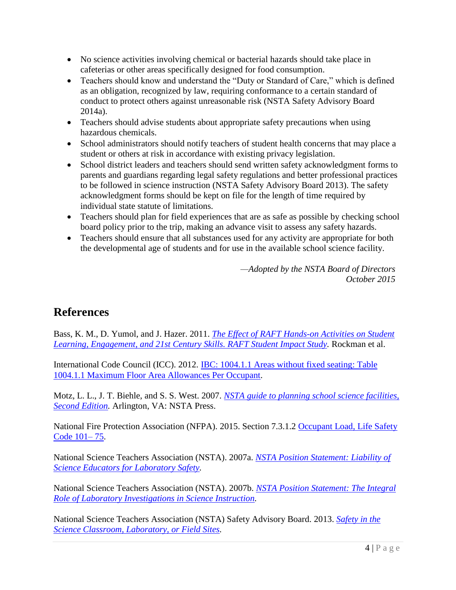- No science activities involving chemical or bacterial hazards should take place in cafeterias or other areas specifically designed for food consumption.
- Teachers should know and understand the "Duty or Standard of Care," which is defined as an obligation, recognized by law, requiring conformance to a certain standard of conduct to protect others against unreasonable risk (NSTA Safety Advisory Board 2014a).
- Teachers should advise students about appropriate safety precautions when using hazardous chemicals.
- School administrators should notify teachers of student health concerns that may place a student or others at risk in accordance with existing privacy legislation.
- School district leaders and teachers should send written safety acknowledgment forms to parents and guardians regarding legal safety regulations and better professional practices to be followed in science instruction (NSTA Safety Advisory Board 2013). The safety acknowledgment forms should be kept on file for the length of time required by individual state statute of limitations.
- Teachers should plan for field experiences that are as safe as possible by checking school board policy prior to the trip, making an advance visit to assess any safety hazards.
- Teachers should ensure that all substances used for any activity are appropriate for both the developmental age of students and for use in the available school science facility.

*—Adopted by the NSTA Board of Directors October 2015*

### **References**

Bass, K. M., D. Yumol, and J. Hazer. 2011. *The Effect of RAFT [Hands-on Activities on Student](http://www.raft.net/public/pdfs/Rockman-RAFT-Report.pdf)  [Learning, Engagement, and 21st Century Skills. RAFT Student Impact Study.](http://www.raft.net/public/pdfs/Rockman-RAFT-Report.pdf)* Rockman et al.

International Code Council (ICC). 2012. [IBC: 1004.1.1 Areas without fixed seating: Table](http://publicecodes.cyberregs.com/icod/ibc/2009/icod_ibc_2009_10_par061.htm)  [1004.1.1 Maximum Floor Area Allowances Per Occupant.](http://publicecodes.cyberregs.com/icod/ibc/2009/icod_ibc_2009_10_par061.htm)

Motz, L. L., J. T. Biehle, and S. S. West. 2007. *[NSTA guide to planning school science facilities,](http://www.nsta.org/recommends/ViewProduct.aspx?ProductID=18216)  [Second Edition.](http://www.nsta.org/recommends/ViewProduct.aspx?ProductID=18216)* Arlington, VA: NSTA Press.

National Fire Protection Association (NFPA). 2015. Section 7.3.1.2 [Occupant Load, Life Safety](http://catalog.nfpa.org/2015-NFPA-101-Life-Safety-Code-P1220.aspx?order_src=A383&gclid=CIr8gKaFlccCFYMYHwod6y8J5w)  [Code 101–](http://catalog.nfpa.org/2015-NFPA-101-Life-Safety-Code-P1220.aspx?order_src=A383&gclid=CIr8gKaFlccCFYMYHwod6y8J5w) 75.

National Science Teachers Association (NSTA). 2007a. *[NSTA Position Statement: Liability of](http://www.nsta.org/about/positions/liability.aspx)  [Science Educators for Laboratory Safety.](http://www.nsta.org/about/positions/liability.aspx)*

National Science Teachers Association (NSTA). 2007b. *[NSTA Position Statement: The Integral](http://www.nsta.org/about/positions/laboratory.aspx)  [Role of Laboratory Investigations in Science Instruction.](http://www.nsta.org/about/positions/laboratory.aspx)*

National Science Teachers Association (NSTA) Safety Advisory Board. 2013. *[Safety in the](https://www.nsta.org/docs/SafetyInTheScienceClassroomLabAndField.pdf)  [Science Classroom, Laboratory, or Field Sites.](https://www.nsta.org/docs/SafetyInTheScienceClassroomLabAndField.pdf)*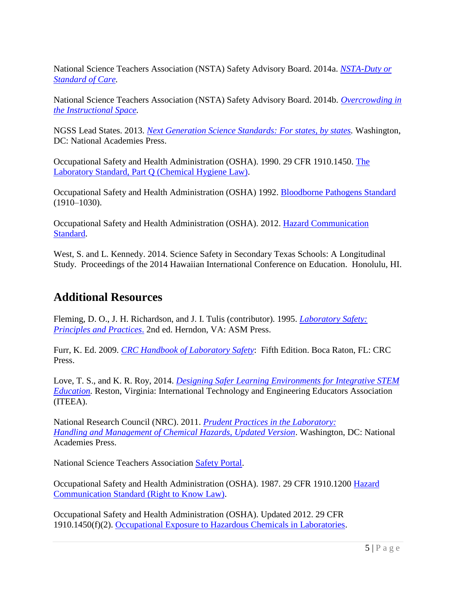National Science Teachers Association (NSTA) Safety Advisory Board. 2014a. *[NSTA-Duty or](http://www.nsta.org/docs/DutyOfCare.pdf)  [Standard of Care.](http://www.nsta.org/docs/DutyOfCare.pdf)*

National Science Teachers Association (NSTA) Safety Advisory Board. 2014b. *[Overcrowding in](https://www.nsta.org/docs/OvercrowdingInTheInstructionalSpace.pdf)  [the Instructional Space.](https://www.nsta.org/docs/OvercrowdingInTheInstructionalSpace.pdf)*

NGSS Lead States. 2013. *[Next Generation Science Standards: For states, by states.](http://www.nextgenscience.org/next-generation-science-standards)* Washington, DC: National Academies Press.

Occupational Safety and Health Administration (OSHA). 1990. 29 CFR 1910.1450. [The](https://www.osha.gov/pls/oshaweb/owadisp.show_document?p_table=STANDARDS&p_id=10106)  [Laboratory Standard, Part Q \(Chemical Hygiene Law\).](https://www.osha.gov/pls/oshaweb/owadisp.show_document?p_table=STANDARDS&p_id=10106)

Occupational Safety and Health Administration (OSHA) 1992. [Bloodborne Pathogens Standard](https://www.osha.gov/pls/oshaweb/owadisp.show_document?p_id=10051&p_table=STANDARDS) (1910–1030).

Occupational Safety and Health Administration (OSHA). 2012. [Hazard Communication](https://www.osha.gov/dsg/hazcom)  [Standard.](https://www.osha.gov/dsg/hazcom)

West, S. and L. Kennedy. 2014. Science Safety in Secondary Texas Schools: A Longitudinal Study. Proceedings of the 2014 Hawaiian International Conference on Education. Honolulu, HI.

#### **Additional Resources**

Fleming, D. O., J. H. Richardson, and J. I. Tulis (contributor). 1995. *[Laboratory Safety:](http://www.amazon.com/Laboratory-Safety-Principles-Practices-Edition/dp/1555810470)  [Principles and Practices](http://www.amazon.com/Laboratory-Safety-Principles-Practices-Edition/dp/1555810470)*. 2nd ed. Herndon, VA: ASM Press.

Furr, K. Ed. 2009. *[CRC Handbook of Laboratory Safety](http://www.crcnetbase.com/isbn/9780849325236)*: Fifth Edition. Boca Raton, FL: CRC Press.

Love, T. S., and K. R. Roy, 2014. *[Designing Safer Learning Environments for Integrative STEM](http://www.iteaconnect.org/Resources/Safety/)  [Education.](http://www.iteaconnect.org/Resources/Safety/)* Reston, Virginia: International Technology and Engineering Educators Association (ITEEA).

National Research Council (NRC). 2011. *[Prudent Practices in the Laboratory:](http://www.nap.edu/catalog/12654/prudent-practices-in-the-laboratory-handling-and-management-of-chemical)  [Handling and Management of Chemical Hazards, Updated Version](http://www.nap.edu/catalog/12654/prudent-practices-in-the-laboratory-handling-and-management-of-chemical)*. Washington, DC: National Academies Press.

National Science Teachers Association [Safety Portal.](http://www.nsta.org/safety)

Occupational Safety and Health Administration (OSHA). 1987. 29 CFR 1910.1200 [Hazard](https://www.osha.gov/pls/oshaweb/owadisp.show_document?p_table=standards&p_id=10099)  [Communication Standard \(Right to Know Law\).](https://www.osha.gov/pls/oshaweb/owadisp.show_document?p_table=standards&p_id=10099)

Occupational Safety and Health Administration (OSHA). Updated 2012. 29 CFR 1910.1450(f)(2). [Occupational Exposure to Hazardous Chemicals in Laboratories.](https://www.osha.gov/pls/oshaweb/owadisp.show_document?p_table=STANDARDS&p_id=10106)